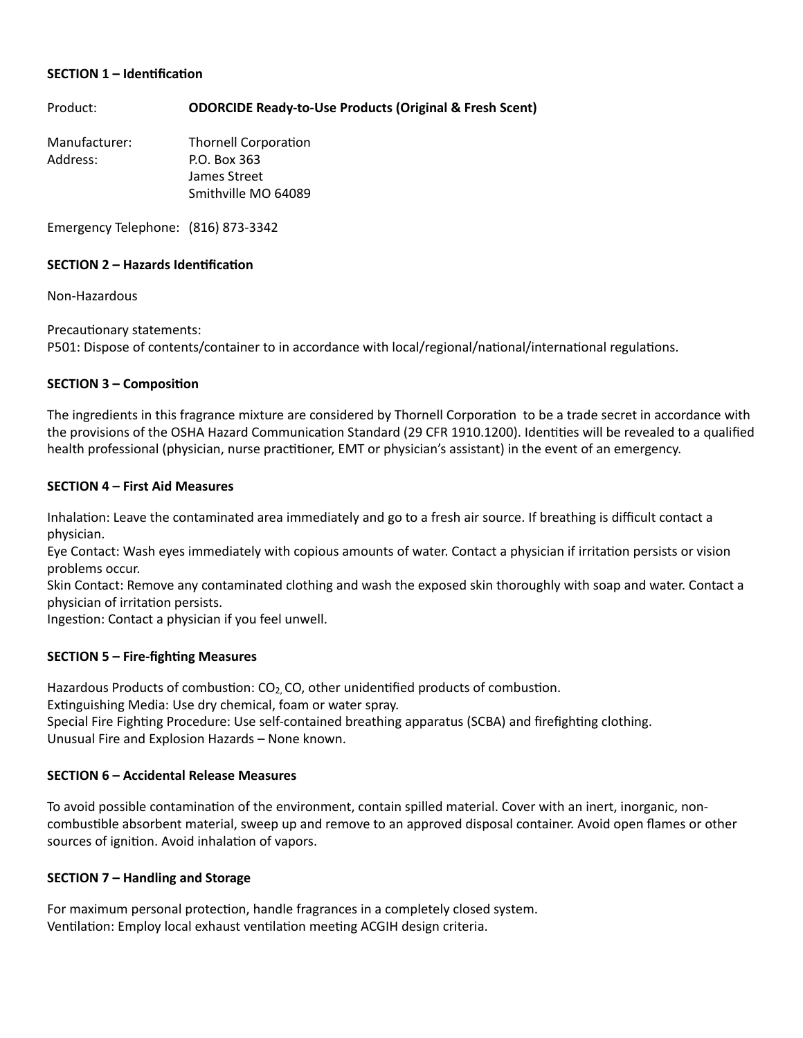#### **SECTION 1 – Identification**

Product: **ODORCIDE Ready-to-Use Products (Original & Fresh Scent)** 

Manufacturer: Thornell Corporation Address: P.O. Box 363 James Street Smithville MO 64089

Emergency Telephone: (816) 873-3342

### **SECTION 2 - Hazards Identification**

Non-Hazardous

Precautionary statements:

P501: Dispose of contents/container to in accordance with local/regional/national/international regulations.

### **SECTION 3 – Composition**

The ingredients in this fragrance mixture are considered by Thornell Corporation to be a trade secret in accordance with the provisions of the OSHA Hazard Communication Standard (29 CFR 1910.1200). Identities will be revealed to a qualified health professional (physician, nurse practitioner, EMT or physician's assistant) in the event of an emergency.

### **SECTION 4 – First Aid Measures**

Inhalation: Leave the contaminated area immediately and go to a fresh air source. If breathing is difficult contact a physician.

Eye Contact: Wash eyes immediately with copious amounts of water. Contact a physician if irritation persists or vision problems occur.

Skin Contact: Remove any contaminated clothing and wash the exposed skin thoroughly with soap and water. Contact a physician of irritation persists.

Ingestion: Contact a physician if you feel unwell.

# **SECTION 5 – Fire-fighting Measures**

Hazardous Products of combustion:  $CO<sub>2</sub>$ , CO, other unidentified products of combustion. Extinguishing Media: Use dry chemical, foam or water spray. Special Fire Fighting Procedure: Use self-contained breathing apparatus (SCBA) and firefighting clothing. Unusual Fire and Explosion Hazards – None known.

# **SECTION 6 – Accidental Release Measures**

To avoid possible contamination of the environment, contain spilled material. Cover with an inert, inorganic, noncombustible absorbent material, sweep up and remove to an approved disposal container. Avoid open flames or other sources of ignition. Avoid inhalation of vapors.

#### **SECTION 7 - Handling and Storage**

For maximum personal protection, handle fragrances in a completely closed system. Ventilation: Employ local exhaust ventilation meeting ACGIH design criteria.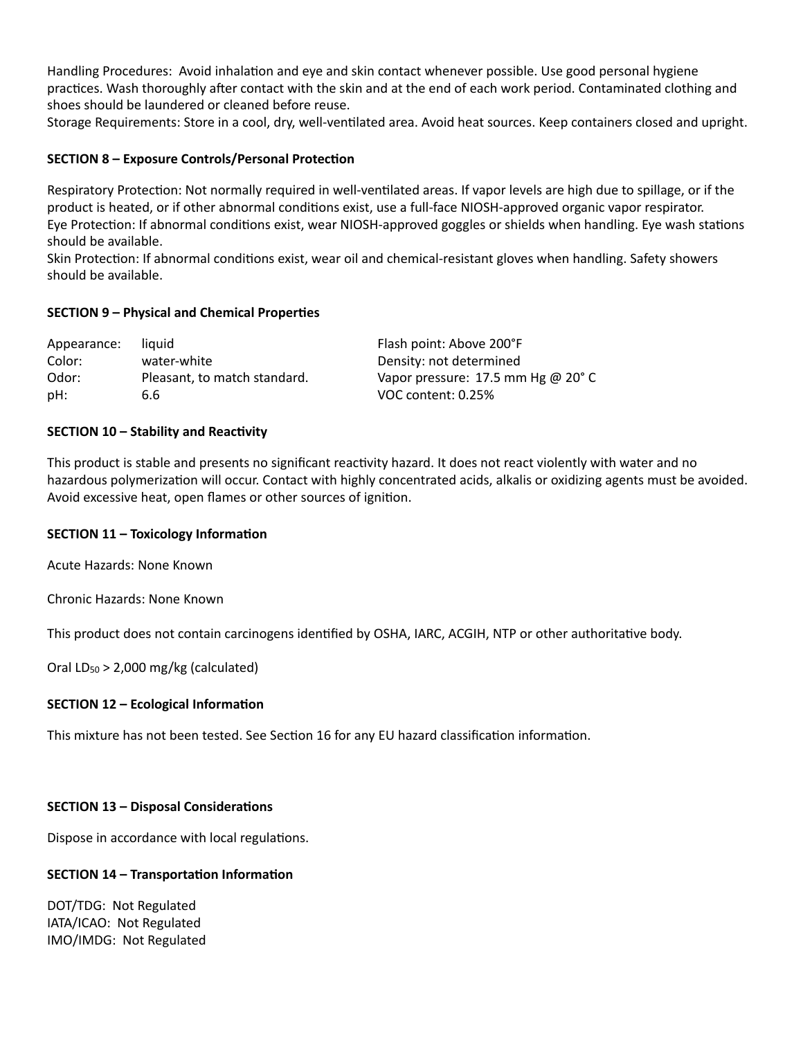Handling Procedures: Avoid inhalation and eye and skin contact whenever possible. Use good personal hygiene practices. Wash thoroughly after contact with the skin and at the end of each work period. Contaminated clothing and shoes should be laundered or cleaned before reuse.

Storage Requirements: Store in a cool, dry, well-ventilated area. Avoid heat sources. Keep containers closed and upright.

### **SECTION 8 – Exposure Controls/Personal Protection**

Respiratory Protection: Not normally required in well-ventilated areas. If vapor levels are high due to spillage, or if the product is heated, or if other abnormal conditions exist, use a full-face NIOSH-approved organic vapor respirator. Eye Protection: If abnormal conditions exist, wear NIOSH-approved goggles or shields when handling. Eye wash stations should be available.

Skin Protection: If abnormal conditions exist, wear oil and chemical-resistant gloves when handling. Safety showers should be available.

### **SECTION 9 - Physical and Chemical Properties**

| Appearance: | liauid                       | Flash point: Above 200°F                    |
|-------------|------------------------------|---------------------------------------------|
| Color:      | water-white                  | Density: not determined                     |
| Odor:       | Pleasant, to match standard. | Vapor pressure: 17.5 mm Hg @ $20^{\circ}$ C |
| pH:         | 6.6                          | VOC content: 0.25%                          |

### **SECTION 10 - Stability and Reactivity**

This product is stable and presents no significant reactivity hazard. It does not react violently with water and no hazardous polymerization will occur. Contact with highly concentrated acids, alkalis or oxidizing agents must be avoided. Avoid excessive heat, open flames or other sources of ignition.

#### **SECTION 11 - Toxicology Information**

Acute Hazards: None Known

Chronic Hazards: None Known

This product does not contain carcinogens identified by OSHA, IARC, ACGIH, NTP or other authoritative body.

Oral  $LD_{50}$  > 2,000 mg/kg (calculated)

# **SECTION 12 - Ecological Information**

This mixture has not been tested. See Section 16 for any EU hazard classification information.

# **SECTION 13 - Disposal Considerations**

Dispose in accordance with local regulations.

# **SECTION 14 - Transportation Information**

DOT/TDG: Not Regulated IATA/ICAO: Not Regulated IMO/IMDG: Not Regulated